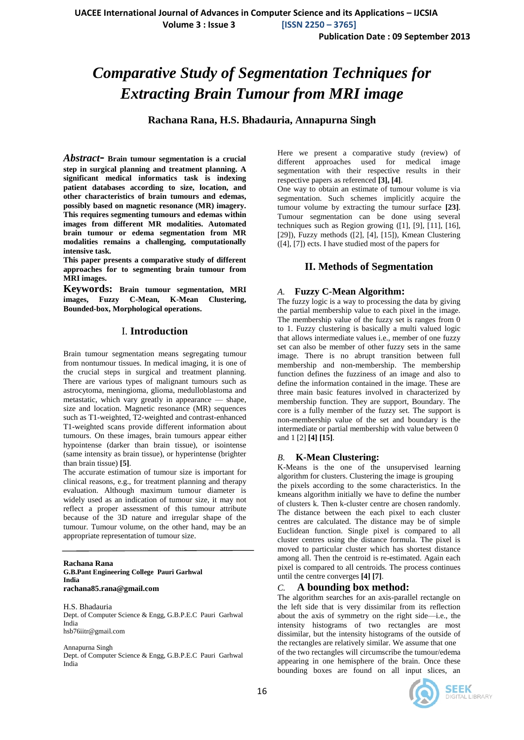**Volume 3 : Issue 3 [ISSN 2250 – 3765]**

**Publication Date : 09 September 2013**

# *Comparative Study of Segmentation Techniques for Extracting Brain Tumour from MRI image*

**Rachana Rana, H.S. Bhadauria, Annapurna Singh**

*Abstract***- Brain tumour segmentation is a crucial step in surgical planning and treatment planning. A significant medical informatics task is indexing patient databases according to size, location, and other characteristics of brain tumours and edemas, possibly based on magnetic resonance (MR) imagery. This requires segmenting tumours and edemas within images from different MR modalities. Automated brain tumour or edema segmentation from MR modalities remains a challenging, computationally intensive task.**

**This paper presents a comparative study of different approaches for to segmenting brain tumour from MRI images.**

**Keywords: Brain tumour segmentation, MRI images, Fuzzy C-Mean, K-Mean Clustering, Bounded-box, Morphological operations.**

# I. **Introduction**

Brain tumour segmentation means segregating tumour from nontumour tissues. In medical imaging, it is one of the crucial steps in surgical and treatment planning. There are various types of malignant tumours such as astrocytoma, meningioma, glioma, medulloblastoma and metastatic, which vary greatly in appearance — shape, size and location. Magnetic resonance (MR) sequences such as T1-weighted, T2-weighted and contrast-enhanced T1-weighted scans provide different information about tumours. On these images, brain tumours appear either hypointense (darker than brain tissue), or isointense (same intensity as brain tissue), or hyperintense (brighter than brain tissue) **[5]**.

The accurate estimation of tumour size is important for clinical reasons, e.g., for treatment planning and therapy evaluation. Although maximum tumour diameter is widely used as an indication of tumour size, it may not reflect a proper assessment of this tumour attribute because of the 3D nature and irregular shape of the tumour. Tumour volume, on the other hand, may be an appropriate representation of tumour size.

#### **Rachana Rana G.B.Pant Engineering College Pauri Garhwal India rachana85.rana@gmail.com**

H.S. Bhadauria Dept. of Computer Science & Engg, G.B.P.E.C Pauri Garhwal India hsb76iitr@gmail.com

Annapurna Singh Dept. of Computer Science & Engg, G.B.P.E.C Pauri Garhwal India

Here we present a comparative study (review) of different approaches used for medical image segmentation with their respective results in their respective papers as referenced **[3], [4]**.

One way to obtain an estimate of tumour volume is via segmentation. Such schemes implicitly acquire the tumour volume by extracting the tumour surface **[23]**. Tumour segmentation can be done using several techniques such as Region growing  $(1]$ ,  $[9]$ ,  $[11]$ ,  $[16]$ , [29]), Fuzzy methods ([2], [4], [15]), Kmean Clustering ([4], [7]) ects. I have studied most of the papers for

# **II. Methods of Segmentation**

# *A.* **Fuzzy C-Mean Algorithm:**

The fuzzy logic is a way to processing the data by giving the partial membership value to each pixel in the image. The membership value of the fuzzy set is ranges from 0 to 1. Fuzzy clustering is basically a multi valued logic that allows intermediate values i.e., member of one fuzzy set can also be member of other fuzzy sets in the same image. There is no abrupt transition between full membership and non-membership. The membership function defines the fuzziness of an image and also to define the information contained in the image. These are three main basic features involved in characterized by membership function. They are support, Boundary. The core is a fully member of the fuzzy set. The support is non-membership value of the set and boundary is the intermediate or partial membership with value between 0 and 1 [2] **[4] [15]**.

# *B.* **K-Mean Clustering:**

K-Means is the one of the unsupervised learning algorithm for clusters. Clustering the image is grouping the pixels according to the some characteristics. In the kmeans algorithm initially we have to define the number of clusters k. Then k-cluster centre are chosen randomly. The distance between the each pixel to each cluster centres are calculated. The distance may be of simple Euclidean function. Single pixel is compared to all cluster centres using the distance formula. The pixel is moved to particular cluster which has shortest distance among all. Then the centroid is re-estimated. Again each pixel is compared to all centroids. The process continues until the centre converges **[4] [7]**.

# *C.* **A bounding box method:**

The algorithm searches for an axis-parallel rectangle on the left side that is very dissimilar from its reflection about the axis of symmetry on the right side—i.e., the intensity histograms of two rectangles are most dissimilar, but the intensity histograms of the outside of the rectangles are relatively similar. We assume that one of the two rectangles will circumscribe the tumour/edema appearing in one hemisphere of the brain. Once these bounding boxes are found on all input slices, an

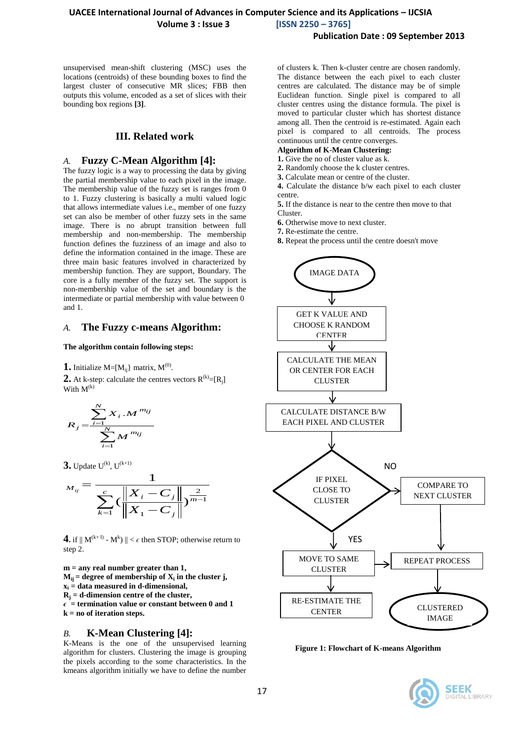unsupervised mean-shift clustering (MSC) uses the locations (centroids) of these bounding boxes to find the largest cluster of consecutive MR slices; FBB then outputs this volume, encoded as a set of slices with their bounding box regions **[3]**.

#### **III. Related work**

# *A.* **Fuzzy C-Mean Algorithm [4]:**

The fuzzy logic is a way to processing the data by giving the partial membership value to each pixel in the image. The membership value of the fuzzy set is ranges from 0 to 1. Fuzzy clustering is basically a multi valued logic that allows intermediate values i.e., member of one fuzzy set can also be member of other fuzzy sets in the same image. There is no abrupt transition between full membership and non-membership. The membership function defines the fuzziness of an image and also to define the information contained in the image. These are three main basic features involved in characterized by membership function. They are support, Boundary. The core is a fully member of the fuzzy set. The support is non-membership value of the set and boundary is the intermediate or partial membership with value between 0 and 1.

#### *A.* **The Fuzzy c-means Algorithm:**

#### **The algorithm contain following steps:**

**1.** Initialize  $M = [M_{ij}]$  matrix,  $M^{(0)}$ .

**2.** At k-step: calculate the centres vectors  $R^{(k)} = [R_j]$ With  $M^{(k)}$ 

$$
R_{j} = \frac{\sum_{i=1}^{N} X_{i} \cdot M^{m_{ij}}}{\sum_{i=1}^{N} M^{m_{ij}}}
$$

**3.** Update  $U^{(k)}$ ,  $U^{(k+1)}$ 

$$
M_{ij} = \frac{1}{\sum_{k=1}^{c} \left( \frac{\left\| X_i - C_j \right\|}{\left\| X_1 - C_j \right\|} \right)^{\frac{2}{m-1}}}
$$

**4.** if  $||M^{(k+1)} - M^{k}|| < \epsilon$  then STOP; otherwise return to step 2.

**m = any real number greater than 1,**  $M_{ij}$  = **degree of membership of**  $X_i$  **in the cluster j,**  $\mathbf{x}_i = \text{data measured in d-dimensional},$ **R<sup>j</sup> = d-dimension centre of the cluster,**  $\epsilon$  = termination value or constant between 0 and 1 **k = no of iteration steps.**

# *B.* **K-Mean Clustering [4]:**

K-Means is the one of the unsupervised learning algorithm for clusters. Clustering the image is grouping the pixels according to the some characteristics. In the kmeans algorithm initially we have to define the number

of clusters k. Then k-cluster centre are chosen randomly. The distance between the each pixel to each cluster centres are calculated. The distance may be of simple Euclidean function. Single pixel is compared to all cluster centres using the distance formula. The pixel is moved to particular cluster which has shortest distance among all. Then the centroid is re-estimated. Again each pixel is compared to all centroids. The process continuous until the centre converges.

#### **Algorithm of K-Mean Clustering:**

- **1.** Give the no of cluster value as k.
- **2.** Randomly choose the k cluster centres.
- **3.** Calculate mean or centre of the cluster.

**4.** Calculate the distance b/w each pixel to each cluster centre.

**5.** If the distance is near to the centre then move to that Cluster.

- **6.** Otherwise move to next cluster.
- **7.** Re-estimate the centre.
- **8.** Repeat the process until the centre doesn't move



**Figure 1: Flowchart of K-means Algorithm**

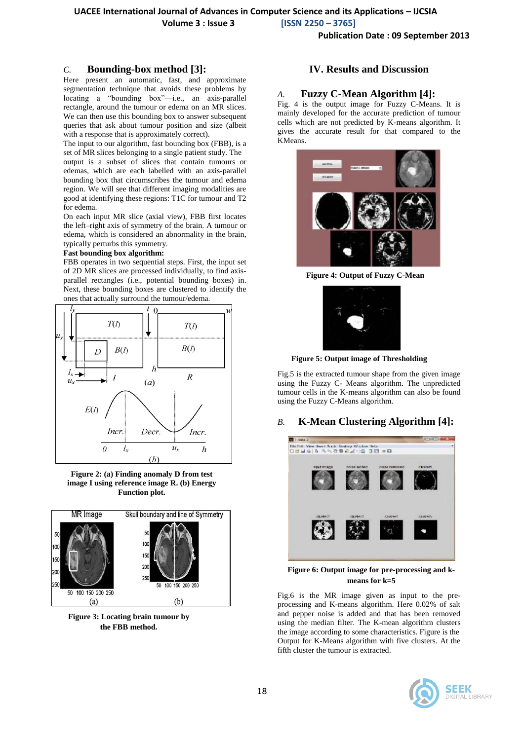## **UACEE International Journal of Advances in Computer Science and its Applications – IJCSIA**

 **Volume 3 : Issue 3 [ISSN 2250 – 3765]**

**Publication Date : 09 September 2013**

### *C.* **Bounding-box method [3]:**

Here present an automatic, fast, and approximate segmentation technique that avoids these problems by locating a "bounding box"—i.e., an axis-parallel rectangle, around the tumour or edema on an MR slices. We can then use this bounding box to answer subsequent queries that ask about tumour position and size (albeit with a response that is approximately correct).

The input to our algorithm, fast bounding box (FBB), is a set of MR slices belonging to a single patient study. The

output is a subset of slices that contain tumours or edemas, which are each labelled with an axis-parallel bounding box that circumscribes the tumour and edema region. We will see that different imaging modalities are good at identifying these regions: T1C for tumour and T2 for edema.

On each input MR slice (axial view), FBB first locates the left–right axis of symmetry of the brain. A tumour or edema, which is considered an abnormality in the brain, typically perturbs this symmetry.

#### **Fast bounding box algorithm:**

FBB operates in two sequential steps. First, the input set of 2D MR slices are processed individually, to find axisparallel rectangles (i.e., potential bounding boxes) in. Next, these bounding boxes are clustered to identify the ones that actually surround the tumour/edema.



**Figure 2: (a) Finding anomaly D from test image I using reference image R. (b) Energy Function plot.**



**Figure 3: Locating brain tumour by the FBB method.**

#### **IV. Results and Discussion**

#### *A.* **Fuzzy C-Mean Algorithm [4]:**

Fig. 4 is the output image for Fuzzy C-Means. It is mainly developed for the accurate prediction of tumour cells which are not predicted by K-means algorithm. It gives the accurate result for that compared to the KMeans.



**Figure 4: Output of Fuzzy C-Mean**



**Figure 5: Output image of Thresholding**

Fig.5 is the extracted tumour shape from the given image using the Fuzzy C- Means algorithm. The unpredicted tumour cells in the K-means algorithm can also be found using the Fuzzy C-Means algorithm.

#### *B.* **K-Mean Clustering Algorithm [4]:**



**Figure 6: Output image for pre-processing and kmeans for k=5**

Fig.6 is the MR image given as input to the preprocessing and K-means algorithm. Here 0.02% of salt and pepper noise is added and that has been removed using the median filter. The K-mean algorithm clusters the image according to some characteristics. Figure is the Output for K-Means algorithm with five clusters. At the fifth cluster the tumour is extracted.

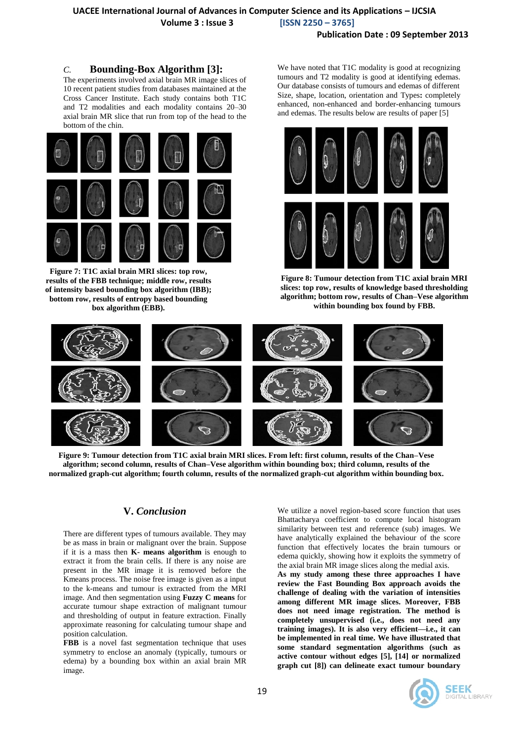# **UACEE International Journal of Advances in Computer Science and its Applications – IJCSIA Volume 3 : Issue 3 [ISSN 2250 – 3765]**

#### **Publication Date : 09 September 2013**

## *C.* **Bounding-Box Algorithm [3]:**

The experiments involved axial brain MR image slices of 10 recent patient studies from databases maintained at the Cross Cancer Institute. Each study contains both T1C and T2 modalities and each modality contains 20–30 axial brain MR slice that run from top of the head to the bottom of the chin.



**Figure 7: T1C axial brain MRI slices: top row, results of the FBB technique; middle row, results of intensity based bounding box algorithm (IBB); bottom row, results of entropy based bounding box algorithm (EBB).**

We have noted that T1C modality is good at recognizing tumours and T2 modality is good at identifying edemas. Our database consists of tumours and edemas of different Size, shape, location, orientation and Types**:** completely enhanced, non-enhanced and border-enhancing tumours and edemas. The results below are results of paper [5]



**Figure 8: Tumour detection from T1C axial brain MRI slices: top row, results of knowledge based thresholding algorithm; bottom row, results of Chan–Vese algorithm within bounding box found by FBB.**



**Figure 9: Tumour detection from T1C axial brain MRI slices. From left: first column, results of the Chan–Vese algorithm; second column, results of Chan–Vese algorithm within bounding box; third column, results of the normalized graph-cut algorithm; fourth column, results of the normalized graph-cut algorithm within bounding box.**

# **V.** *Conclusion*

There are different types of tumours available. They may be as mass in brain or malignant over the brain. Suppose if it is a mass then **K- means algorithm** is enough to extract it from the brain cells. If there is any noise are present in the MR image it is removed before the Kmeans process. The noise free image is given as a input to the k-means and tumour is extracted from the MRI image. And then segmentation using **Fuzzy C means** for accurate tumour shape extraction of malignant tumour and thresholding of output in feature extraction. Finally approximate reasoning for calculating tumour shape and position calculation.

**FBB** is a novel fast segmentation technique that uses symmetry to enclose an anomaly (typically, tumours or edema) by a bounding box within an axial brain MR image.

We utilize a novel region-based score function that uses Bhattacharya coefficient to compute local histogram similarity between test and reference (sub) images. We have analytically explained the behaviour of the score function that effectively locates the brain tumours or edema quickly, showing how it exploits the symmetry of the axial brain MR image slices along the medial axis.

**As my study among these three approaches I have review the Fast Bounding Box approach avoids the challenge of dealing with the variation of intensities among different MR image slices. Moreover, FBB does not need image registration. The method is completely unsupervised (i.e., does not need any training images). It is also very efficient—i.e., it can be implemented in real time. We have illustrated that some standard segmentation algorithms (such as active contour without edges [5], [14] or normalized graph cut [8]) can delineate exact tumour boundary**